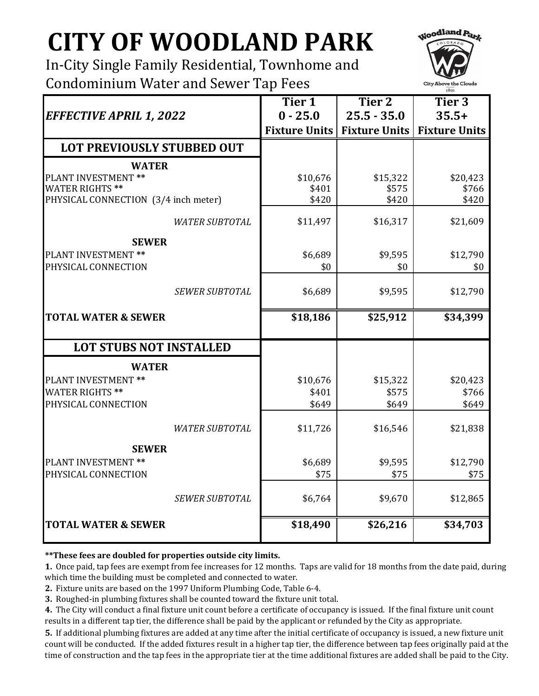## **CITY OF WOODLAND PARK**

In-City Single Family Residential, Townhome and Condominium Water and Sewer Tap Fees



|                                                                | Tier 1               | Tier <sub>2</sub>    | Tier 3               |
|----------------------------------------------------------------|----------------------|----------------------|----------------------|
| <b>EFFECTIVE APRIL 1, 2022</b>                                 | $0 - 25.0$           | $25.5 - 35.0$        | $35.5+$              |
|                                                                | <b>Fixture Units</b> | <b>Fixture Units</b> | <b>Fixture Units</b> |
| LOT PREVIOUSLY STUBBED OUT                                     |                      |                      |                      |
| <b>WATER</b>                                                   |                      |                      |                      |
| <b>PLANT INVESTMENT **</b>                                     | \$10,676             | \$15,322             | \$20,423             |
| <b>WATER RIGHTS **</b><br>PHYSICAL CONNECTION (3/4 inch meter) | \$401<br>\$420       | \$575<br>\$420       | \$766<br>\$420       |
| <b>WATER SUBTOTAL</b>                                          | \$11,497             | \$16,317             | \$21,609             |
| <b>SEWER</b>                                                   |                      |                      |                      |
| PLANT INVESTMENT **                                            | \$6,689              | \$9,595              | \$12,790             |
| PHYSICAL CONNECTION                                            | \$0                  | \$0                  | \$0                  |
| <b>SEWER SUBTOTAL</b>                                          | \$6,689              | \$9,595              | \$12,790             |
| <b>TOTAL WATER &amp; SEWER</b>                                 | \$18,186             | \$25,912             | \$34,399             |
| <b>LOT STUBS NOT INSTALLED</b>                                 |                      |                      |                      |
| <b>WATER</b>                                                   |                      |                      |                      |
| PLANT INVESTMENT **                                            | \$10,676             | \$15,322             | \$20,423             |
| <b>WATER RIGHTS**</b>                                          | \$401                | \$575                | \$766                |
| PHYSICAL CONNECTION                                            | \$649                | \$649                | \$649                |
| <b>WATER SUBTOTAL</b>                                          | \$11,726             | \$16,546             | \$21,838             |
| <b>SEWER</b>                                                   |                      |                      |                      |
| PLANT INVESTMENT **                                            | \$6,689              | \$9,595              | \$12,790             |
| PHYSICAL CONNECTION                                            | \$75                 | \$75                 | \$75                 |
| <b>SEWER SUBTOTAL</b>                                          | \$6,764              | \$9,670              | \$12,865             |
| <b>TOTAL WATER &amp; SEWER</b>                                 | \$18,490             | \$26,216             | \$34,703             |

**\*\*These fees are doubled for properties outside city limits.**

**1.** Once paid, tap fees are exempt from fee increases for 12 months. Taps are valid for 18 months from the date paid, during which time the building must be completed and connected to water.

**2.** Fixture units are based on the 1997 Uniform Plumbing Code, Table 6-4.

**3.** Roughed-in plumbing fixtures shall be counted toward the fixture unit total.

**4.** The City will conduct a final fixture unit count before a certificate of occupancy is issued. If the final fixture unit count results in a different tap tier, the difference shall be paid by the applicant or refunded by the City as appropriate.

**5.** If additional plumbing fixtures are added at any time after the initial certificate of occupancy is issued, a new fixture unit count will be conducted. If the added fixtures result in a higher tap tier, the difference between tap fees originally paid at the time of construction and the tap fees in the appropriate tier at the time additional fixtures are added shall be paid to the City.